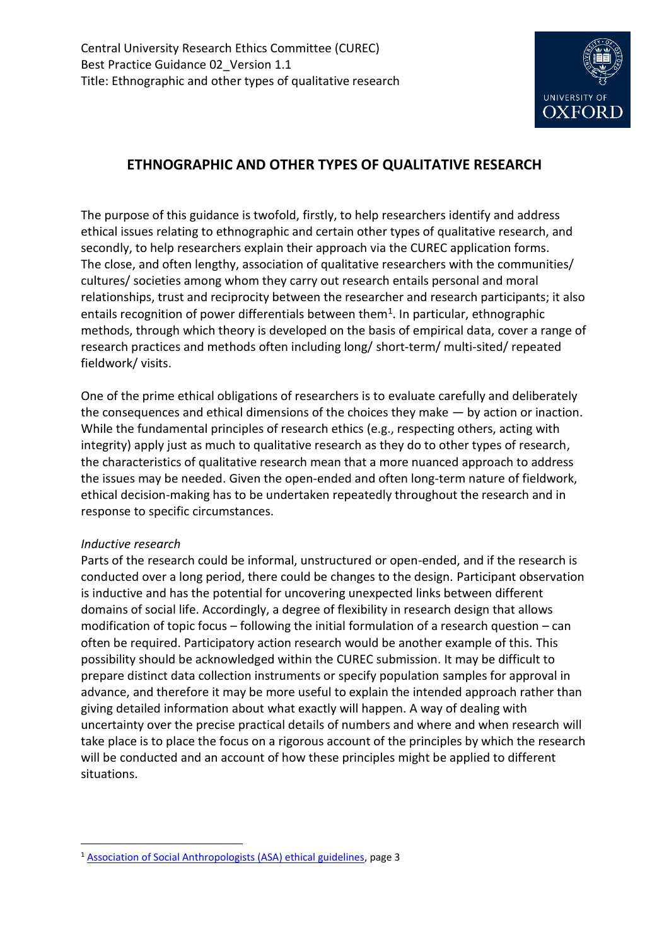

# **ETHNOGRAPHIC AND OTHER TYPES OF QUALITATIVE RESEARCH**

The purpose of this guidance is twofold, firstly, to help researchers identify and address ethical issues relating to ethnographic and certain other types of qualitative research, and secondly, to help researchers explain their approach via the CUREC application forms. The close, and often lengthy, association of qualitative researchers with the communities/ cultures/ societies among whom they carry out research entails personal and moral relationships, trust and reciprocity between the researcher and research participants; it also entails recognition of power differentials between them<sup>1</sup>. In particular, ethnographic methods, through which theory is developed on the basis of empirical data, cover a range of research practices and methods often including long/ short-term/ multi-sited/ repeated fieldwork/ visits.

One of the prime ethical obligations of researchers is to evaluate carefully and deliberately the consequences and ethical dimensions of the choices they make — by action or inaction. While the fundamental principles of research ethics (e.g., respecting others, acting with integrity) apply just as much to qualitative research as they do to other types of research, the characteristics of qualitative research mean that a more nuanced approach to address the issues may be needed. Given the open-ended and often long-term nature of fieldwork, ethical decision-making has to be undertaken repeatedly throughout the research and in response to specific circumstances.

# *Inductive research*

1

Parts of the research could be informal, unstructured or open-ended, and if the research is conducted over a long period, there could be changes to the design. Participant observation is inductive and has the potential for uncovering unexpected links between different domains of social life. Accordingly, a degree of flexibility in research design that allows modification of topic focus – following the initial formulation of a research question – can often be required. Participatory action research would be another example of this. This possibility should be acknowledged within the CUREC submission. It may be difficult to prepare distinct data collection instruments or specify population samples for approval in advance, and therefore it may be more useful to explain the intended approach rather than giving detailed information about what exactly will happen. A way of dealing with uncertainty over the precise practical details of numbers and where and when research will take place is to place the focus on a rigorous account of the principles by which the research will be conducted and an account of how these principles might be applied to different situations.

<sup>1</sup> [Association of Social Anthropologists \(ASA\) ethical guidelines,](https://www.theasa.org/downloads/ASA%20ethics%20guidelines%202011.pdf) page 3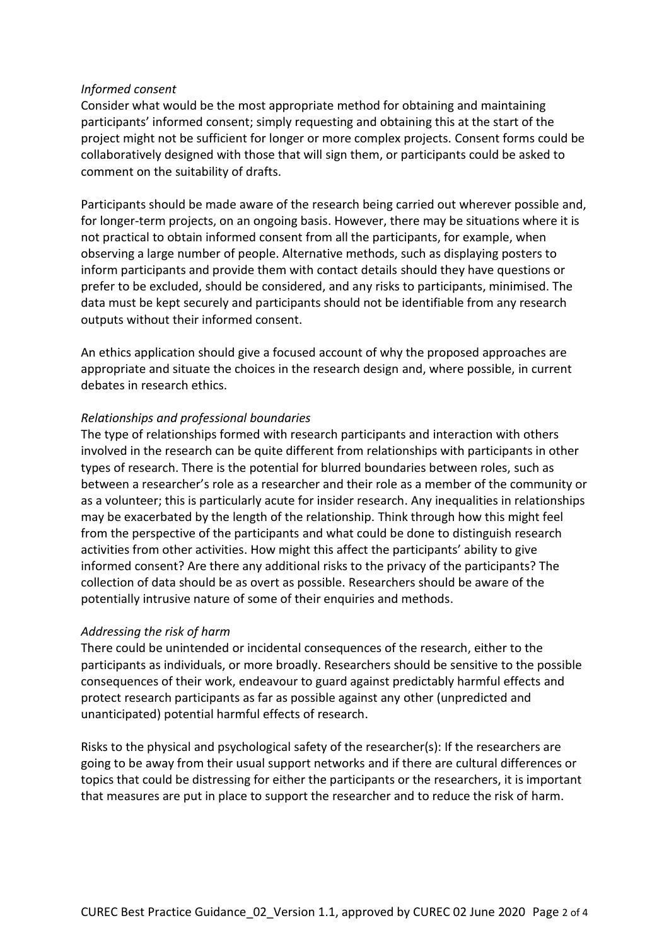#### *Informed consent*

Consider what would be the most appropriate method for obtaining and maintaining participants' informed consent; simply requesting and obtaining this at the start of the project might not be sufficient for longer or more complex projects. Consent forms could be collaboratively designed with those that will sign them, or participants could be asked to comment on the suitability of drafts.

Participants should be made aware of the research being carried out wherever possible and, for longer-term projects, on an ongoing basis. However, there may be situations where it is not practical to obtain informed consent from all the participants, for example, when observing a large number of people. Alternative methods, such as displaying posters to inform participants and provide them with contact details should they have questions or prefer to be excluded, should be considered, and any risks to participants, minimised. The data must be kept securely and participants should not be identifiable from any research outputs without their informed consent.

An ethics application should give a focused account of why the proposed approaches are appropriate and situate the choices in the research design and, where possible, in current debates in research ethics.

#### *Relationships and professional boundaries*

The type of relationships formed with research participants and interaction with others involved in the research can be quite different from relationships with participants in other types of research. There is the potential for blurred boundaries between roles, such as between a researcher's role as a researcher and their role as a member of the community or as a volunteer; this is particularly acute for insider research. Any inequalities in relationships may be exacerbated by the length of the relationship. Think through how this might feel from the perspective of the participants and what could be done to distinguish research activities from other activities. How might this affect the participants' ability to give informed consent? Are there any additional risks to the privacy of the participants? The collection of data should be as overt as possible. Researchers should be aware of the potentially intrusive nature of some of their enquiries and methods.

# *Addressing the risk of harm*

There could be unintended or incidental consequences of the research, either to the participants as individuals, or more broadly. Researchers should be sensitive to the possible consequences of their work, endeavour to guard against predictably harmful effects and protect research participants as far as possible against any other (unpredicted and unanticipated) potential harmful effects of research.

Risks to the physical and psychological safety of the researcher(s): If the researchers are going to be away from their usual support networks and if there are cultural differences or topics that could be distressing for either the participants or the researchers, it is important that measures are put in place to support the researcher and to reduce the risk of harm.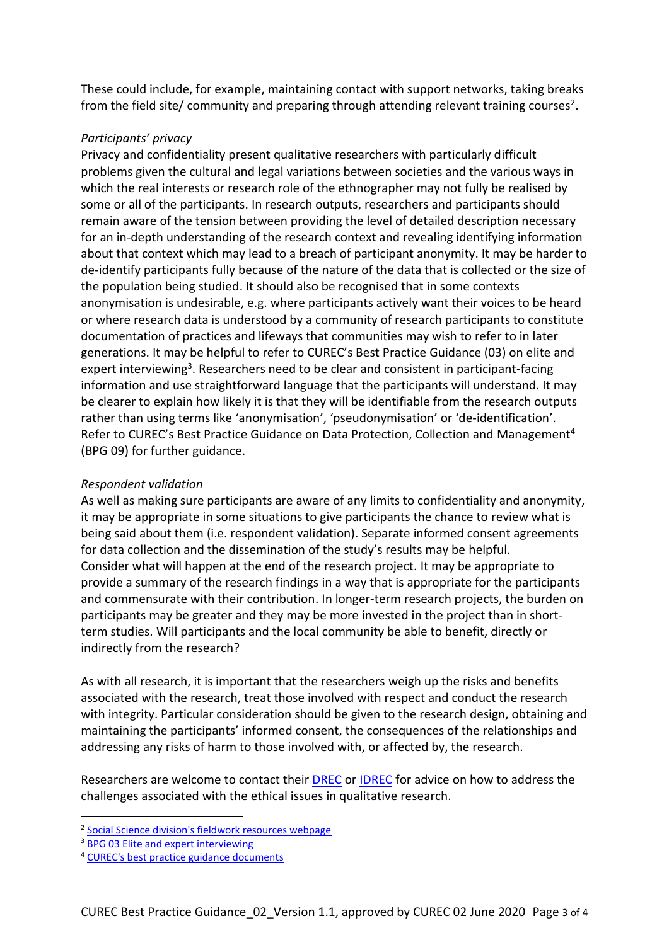These could include, for example, maintaining contact with support networks, taking breaks from the field site/ community and preparing through attending relevant training courses<sup>2</sup>.

#### *Participants' privacy*

Privacy and confidentiality present qualitative researchers with particularly difficult problems given the cultural and legal variations between societies and the various ways in which the real interests or research role of the ethnographer may not fully be realised by some or all of the participants. In research outputs, researchers and participants should remain aware of the tension between providing the level of detailed description necessary for an in-depth understanding of the research context and revealing identifying information about that context which may lead to a breach of participant anonymity. It may be harder to de-identify participants fully because of the nature of the data that is collected or the size of the population being studied. It should also be recognised that in some contexts anonymisation is undesirable, e.g. where participants actively want their voices to be heard or where research data is understood by a community of research participants to constitute documentation of practices and lifeways that communities may wish to refer to in later generations. It may be helpful to refer to CUREC's Best Practice Guidance (03) on elite and expert interviewing<sup>3</sup>. Researchers need to be clear and consistent in participant-facing information and use straightforward language that the participants will understand. It may be clearer to explain how likely it is that they will be identifiable from the research outputs rather than using terms like 'anonymisation', 'pseudonymisation' or 'de-identification'. Refer to CUREC's Best Practice Guidance on Data Protection, Collection and Management<sup>4</sup> (BPG 09) for further guidance.

# *Respondent validation*

As well as making sure participants are aware of any limits to confidentiality and anonymity, it may be appropriate in some situations to give participants the chance to review what is being said about them (i.e. respondent validation). Separate informed consent agreements for data collection and the dissemination of the study's results may be helpful. Consider what will happen at the end of the research project. It may be appropriate to provide a summary of the research findings in a way that is appropriate for the participants and commensurate with their contribution. In longer-term research projects, the burden on participants may be greater and they may be more invested in the project than in shortterm studies. Will participants and the local community be able to benefit, directly or indirectly from the research?

As with all research, it is important that the researchers weigh up the risks and benefits associated with the research, treat those involved with respect and conduct the research with integrity. Particular consideration should be given to the research design, obtaining and maintaining the participants' informed consent, the consequences of the relationships and addressing any risks of harm to those involved with, or affected by, the research.

Researchers are welcome to contact their [DREC](https://researchsupport.admin.ox.ac.uk/governance/ethics/committees/drecs) or [IDREC](https://researchsupport.admin.ox.ac.uk/governance/ethics/apply/sshidrec) for advice on how to address the challenges associated with the ethical issues in qualitative research.

1

<sup>&</sup>lt;sup>2</sup> [Social Science division's fieldwork resources webpage](https://socsci.web.ox.ac.uk/research-fieldwork#collapse1274736)

<sup>&</sup>lt;sup>3</sup> [BPG 03 Elite and expert interviewing](https://researchsupport.admin.ox.ac.uk/files/bpg03eliteandexpertinterviewingpdf)

<sup>4</sup> [CUREC's best practice guidance documents](https://researchsupport.admin.ox.ac.uk/governance/ethics/resources/bpg)